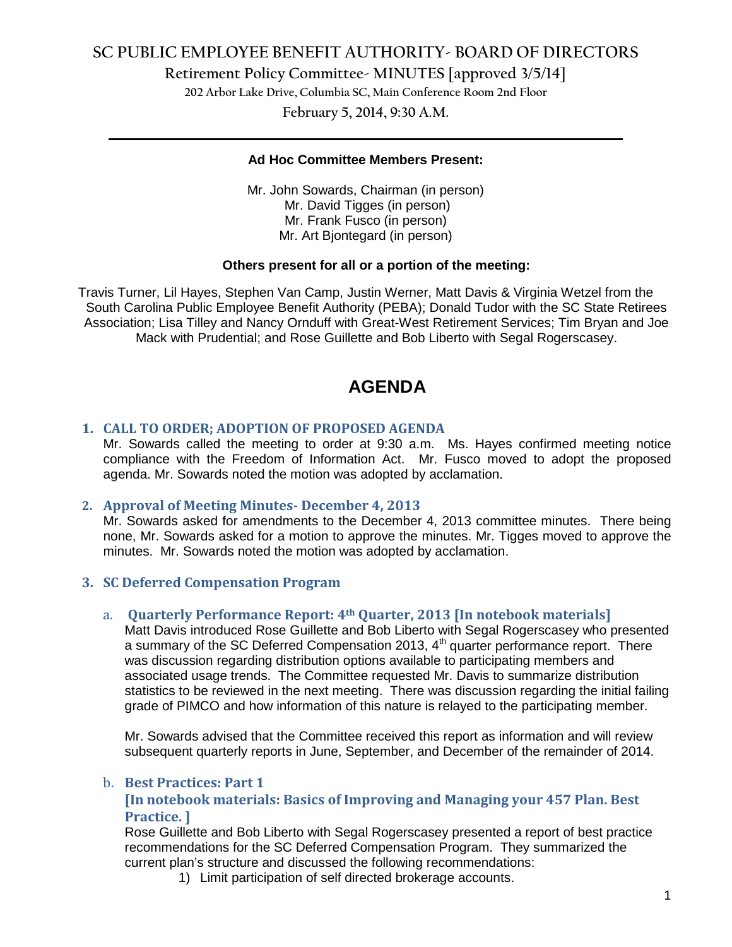# **SC PUBLIC EMPLOYEE BENEFIT AUTHORITY- BOARD OF DIRECTORS**

**Retirement Policy Committee- MINUTES [approved 3/5/14]**

**202 Arbor Lake Drive, Columbia SC, Main Conference Room 2nd Floor**

**February 5, 2014, 9:30 A.M. \_\_\_\_\_\_\_\_\_\_\_\_\_\_\_\_\_\_\_\_\_\_\_\_\_\_\_\_\_\_\_\_\_\_\_\_\_\_\_\_\_\_\_\_\_\_\_\_\_\_\_\_\_\_\_\_\_\_\_\_\_\_\_\_\_\_\_\_\_\_\_\_**

#### **Ad Hoc Committee Members Present:**

Mr. John Sowards, Chairman (in person) Mr. David Tigges (in person) Mr. Frank Fusco (in person) Mr. Art Bjontegard (in person)

# **Others present for all or a portion of the meeting:**

Travis Turner, Lil Hayes, Stephen Van Camp, Justin Werner, Matt Davis & Virginia Wetzel from the South Carolina Public Employee Benefit Authority (PEBA); Donald Tudor with the SC State Retirees Association; Lisa Tilley and Nancy Ornduff with Great-West Retirement Services; Tim Bryan and Joe Mack with Prudential; and Rose Guillette and Bob Liberto with Segal Rogerscasey.

# **AGENDA**

# **1. CALL TO ORDER; ADOPTION OF PROPOSED AGENDA**

Mr. Sowards called the meeting to order at 9:30 a.m. Ms. Hayes confirmed meeting notice compliance with the Freedom of Information Act. Mr. Fusco moved to adopt the proposed agenda. Mr. Sowards noted the motion was adopted by acclamation.

#### **2. Approval of Meeting Minutes- December 4, 2013**

Mr. Sowards asked for amendments to the December 4, 2013 committee minutes. There being none, Mr. Sowards asked for a motion to approve the minutes. Mr. Tigges moved to approve the minutes. Mr. Sowards noted the motion was adopted by acclamation.

# **3. SC Deferred Compensation Program**

#### a. **Quarterly Performance Report: 4th Quarter, 2013 [In notebook materials]**

Matt Davis introduced Rose Guillette and Bob Liberto with Segal Rogerscasey who presented a summary of the SC Deferred Compensation 2013, 4<sup>th</sup> quarter performance report. There was discussion regarding distribution options available to participating members and associated usage trends. The Committee requested Mr. Davis to summarize distribution statistics to be reviewed in the next meeting. There was discussion regarding the initial failing grade of PIMCO and how information of this nature is relayed to the participating member.

Mr. Sowards advised that the Committee received this report as information and will review subsequent quarterly reports in June, September, and December of the remainder of 2014.

#### b. **Best Practices: Part 1**

# **[In notebook materials: Basics of Improving and Managing your 457 Plan. Best Practice. ]**

Rose Guillette and Bob Liberto with Segal Rogerscasey presented a report of best practice recommendations for the SC Deferred Compensation Program. They summarized the current plan's structure and discussed the following recommendations:

1) Limit participation of self directed brokerage accounts.